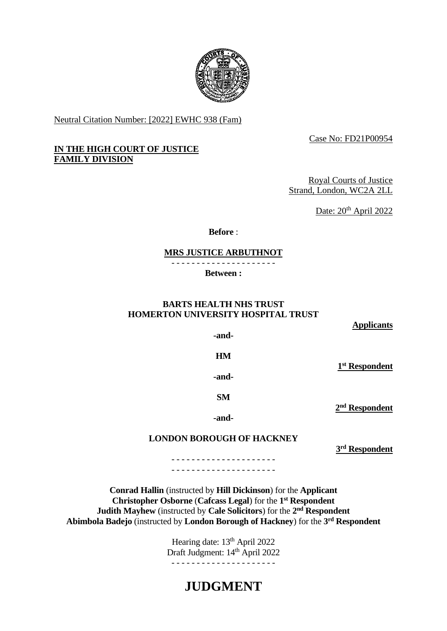

Neutral Citation Number: [2022] EWHC 938 (Fam)

Case No: FD21P00954

# **IN THE HIGH COURT OF JUSTICE FAMILY DIVISION**

Royal Courts of Justice Strand, London, WC2A 2LL

Date: 20<sup>th</sup> April 2022

**Before** :

## **MRS JUSTICE ARBUTHNOT**

- - - - - - - - - - - - - - - - - - - - -

**Between :**

# **BARTS HEALTH NHS TRUST HOMERTON UNIVERSITY HOSPITAL TRUST**

**Applicants**

**-and-**

**HM**

**1 st Respondent**

**2 nd Respondent**

**-and-**

# **LONDON BOROUGH OF HACKNEY**

**3 rd Respondent**

- - - - - - - - - - - - - - - - - - - - - - - - - - - - - - - - - - - - - - - - - -

**Conrad Hallin** (instructed by **Hill Dickinson**) for the **Applicant Christopher Osborne** (**Cafcass Legal**) for the **1 st Respondent Judith Mayhew** (instructed by **Cale Solicitors**) for the **2 nd Respondent Abimbola Badejo** (instructed by **London Borough of Hackney**) for the **3 rd Respondent** 

> Hearing date: 13<sup>th</sup> April 2022 Draft Judgment: 14<sup>th</sup> April 2022 - - - - - - - - - - - - - - - - - - - - -

# **JUDGMENT**

**-and-**

**SM**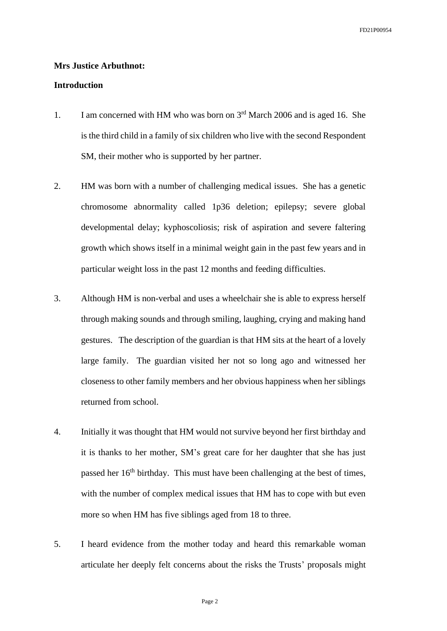#### **Mrs Justice Arbuthnot:**

#### **Introduction**

- 1. I am concerned with HM who was born on  $3<sup>rd</sup>$  March 2006 and is aged 16. She is the third child in a family of six children who live with the second Respondent SM, their mother who is supported by her partner.
- 2. HM was born with a number of challenging medical issues. She has a genetic chromosome abnormality called 1p36 deletion; epilepsy; severe global developmental delay; kyphoscoliosis; risk of aspiration and severe faltering growth which shows itself in a minimal weight gain in the past few years and in particular weight loss in the past 12 months and feeding difficulties.
- 3. Although HM is non-verbal and uses a wheelchair she is able to express herself through making sounds and through smiling, laughing, crying and making hand gestures. The description of the guardian is that HM sits at the heart of a lovely large family. The guardian visited her not so long ago and witnessed her closeness to other family members and her obvious happiness when her siblings returned from school.
- 4. Initially it was thought that HM would not survive beyond her first birthday and it is thanks to her mother, SM's great care for her daughter that she has just passed her 16th birthday. This must have been challenging at the best of times, with the number of complex medical issues that HM has to cope with but even more so when HM has five siblings aged from 18 to three.
- 5. I heard evidence from the mother today and heard this remarkable woman articulate her deeply felt concerns about the risks the Trusts' proposals might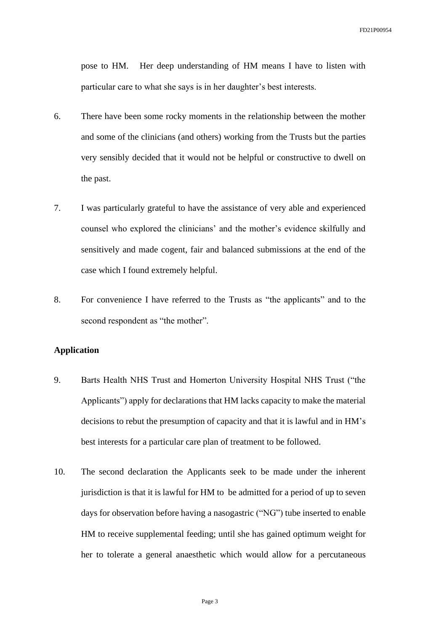pose to HM. Her deep understanding of HM means I have to listen with particular care to what she says is in her daughter's best interests.

- 6. There have been some rocky moments in the relationship between the mother and some of the clinicians (and others) working from the Trusts but the parties very sensibly decided that it would not be helpful or constructive to dwell on the past.
- 7. I was particularly grateful to have the assistance of very able and experienced counsel who explored the clinicians' and the mother's evidence skilfully and sensitively and made cogent, fair and balanced submissions at the end of the case which I found extremely helpful.
- 8. For convenience I have referred to the Trusts as "the applicants" and to the second respondent as "the mother".

## **Application**

- 9. Barts Health NHS Trust and Homerton University Hospital NHS Trust ("the Applicants") apply for declarations that HM lacks capacity to make the material decisions to rebut the presumption of capacity and that it is lawful and in HM's best interests for a particular care plan of treatment to be followed.
- 10. The second declaration the Applicants seek to be made under the inherent jurisdiction is that it is lawful for HM to be admitted for a period of up to seven days for observation before having a nasogastric ("NG") tube inserted to enable HM to receive supplemental feeding; until she has gained optimum weight for her to tolerate a general anaesthetic which would allow for a percutaneous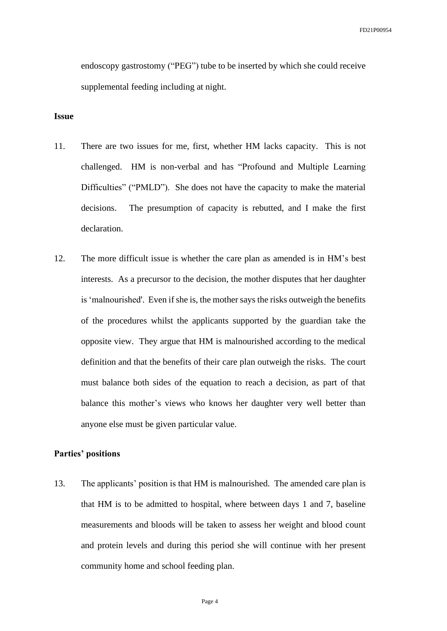endoscopy gastrostomy ("PEG") tube to be inserted by which she could receive supplemental feeding including at night.

### **Issue**

- 11. There are two issues for me, first, whether HM lacks capacity. This is not challenged. HM is non-verbal and has "Profound and Multiple Learning Difficulties" ("PMLD"). She does not have the capacity to make the material decisions. The presumption of capacity is rebutted, and I make the first declaration.
- 12. The more difficult issue is whether the care plan as amended is in HM's best interests. As a precursor to the decision, the mother disputes that her daughter is 'malnourished'. Even if she is, the mother says the risks outweigh the benefits of the procedures whilst the applicants supported by the guardian take the opposite view. They argue that HM is malnourished according to the medical definition and that the benefits of their care plan outweigh the risks. The court must balance both sides of the equation to reach a decision, as part of that balance this mother's views who knows her daughter very well better than anyone else must be given particular value.

#### **Parties' positions**

13. The applicants' position is that HM is malnourished. The amended care plan is that HM is to be admitted to hospital, where between days 1 and 7, baseline measurements and bloods will be taken to assess her weight and blood count and protein levels and during this period she will continue with her present community home and school feeding plan.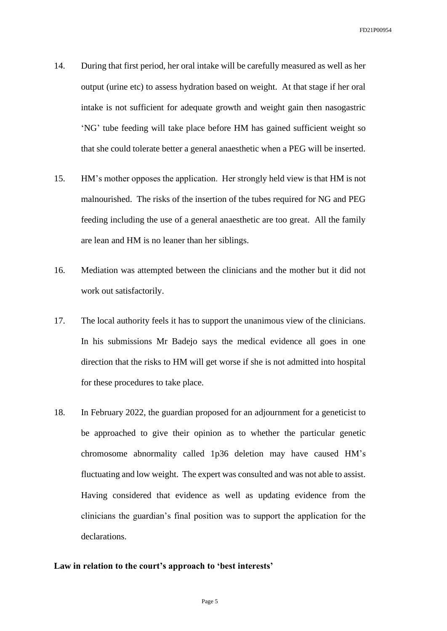- 14. During that first period, her oral intake will be carefully measured as well as her output (urine etc) to assess hydration based on weight. At that stage if her oral intake is not sufficient for adequate growth and weight gain then nasogastric 'NG' tube feeding will take place before HM has gained sufficient weight so that she could tolerate better a general anaesthetic when a PEG will be inserted.
- 15. HM's mother opposes the application. Her strongly held view is that HM is not malnourished. The risks of the insertion of the tubes required for NG and PEG feeding including the use of a general anaesthetic are too great. All the family are lean and HM is no leaner than her siblings.
- 16. Mediation was attempted between the clinicians and the mother but it did not work out satisfactorily.
- 17. The local authority feels it has to support the unanimous view of the clinicians. In his submissions Mr Badejo says the medical evidence all goes in one direction that the risks to HM will get worse if she is not admitted into hospital for these procedures to take place.
- 18. In February 2022, the guardian proposed for an adjournment for a geneticist to be approached to give their opinion as to whether the particular genetic chromosome abnormality called 1p36 deletion may have caused HM's fluctuating and low weight. The expert was consulted and was not able to assist. Having considered that evidence as well as updating evidence from the clinicians the guardian's final position was to support the application for the declarations.

## **Law in relation to the court's approach to 'best interests'**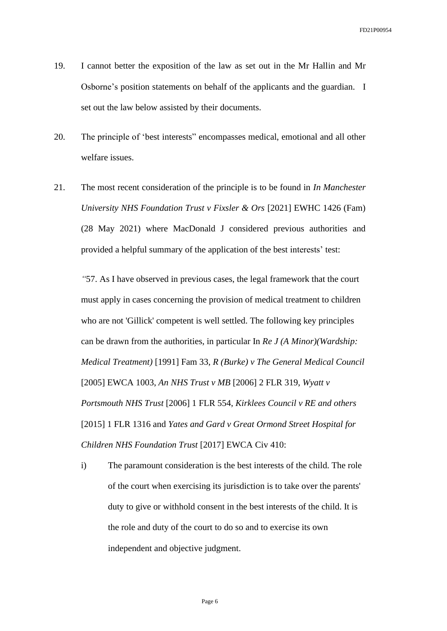- 19. I cannot better the exposition of the law as set out in the Mr Hallin and Mr Osborne's position statements on behalf of the applicants and the guardian. I set out the law below assisted by their documents.
- 20. The principle of 'best interests" encompasses medical, emotional and all other welfare issues.
- 21. The most recent consideration of the principle is to be found in *In Manchester University NHS Foundation Trust v Fixsler & Ors* [2021] EWHC 1426 (Fam) (28 May 2021) where MacDonald J considered previous authorities and provided a helpful summary of the application of the best interests' test:

*"*57. As I have observed in previous cases, the legal framework that the court must apply in cases concerning the provision of medical treatment to children who are not 'Gillick' competent is well settled. The following key principles can be drawn from the authorities, in particular In *Re J (A Minor)(Wardship: Medical Treatment)* [1991] Fam 33, *R (Burke) v The General Medical Council*  [2005] EWCA 1003, *An NHS Trust v MB* [2006] 2 FLR 319, *Wyatt v Portsmouth NHS Trust* [2006] 1 FLR 554, *Kirklees Council v RE and others* [2015] 1 FLR 1316 and *Yates and Gard v Great Ormond Street Hospital for Children NHS Foundation Trust* [2017] EWCA Civ 410:

i) The paramount consideration is the best interests of the child. The role of the court when exercising its jurisdiction is to take over the parents' duty to give or withhold consent in the best interests of the child. It is the role and duty of the court to do so and to exercise its own independent and objective judgment.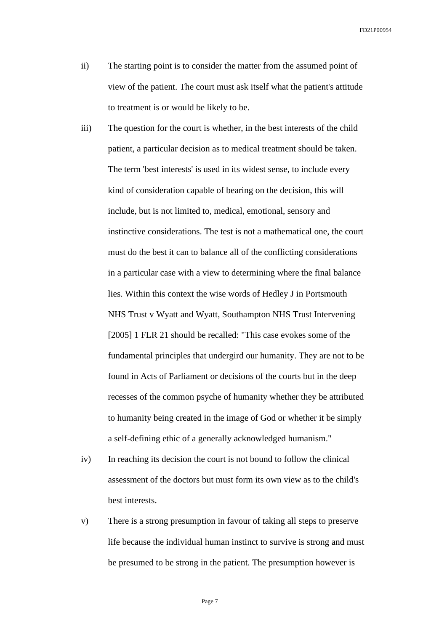- ii) The starting point is to consider the matter from the assumed point of view of the patient. The court must ask itself what the patient's attitude to treatment is or would be likely to be.
- iii) The question for the court is whether, in the best interests of the child patient, a particular decision as to medical treatment should be taken. The term 'best interests' is used in its widest sense, to include every kind of consideration capable of bearing on the decision, this will include, but is not limited to, medical, emotional, sensory and instinctive considerations. The test is not a mathematical one, the court must do the best it can to balance all of the conflicting considerations in a particular case with a view to determining where the final balance lies. Within this context the wise words of Hedley J in Portsmouth NHS Trust v Wyatt and Wyatt, Southampton NHS Trust Intervening [2005] 1 FLR 21 should be recalled: "This case evokes some of the fundamental principles that undergird our humanity. They are not to be found in Acts of Parliament or decisions of the courts but in the deep recesses of the common psyche of humanity whether they be attributed to humanity being created in the image of God or whether it be simply a self-defining ethic of a generally acknowledged humanism."
- iv) In reaching its decision the court is not bound to follow the clinical assessment of the doctors but must form its own view as to the child's best interests.
- v) There is a strong presumption in favour of taking all steps to preserve life because the individual human instinct to survive is strong and must be presumed to be strong in the patient. The presumption however is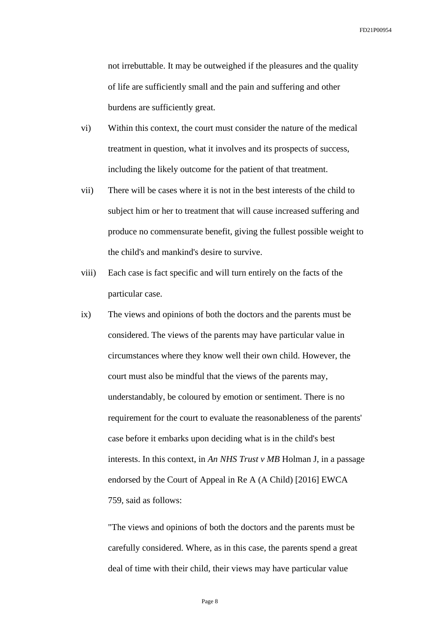not irrebuttable. It may be outweighed if the pleasures and the quality of life are sufficiently small and the pain and suffering and other burdens are sufficiently great.

- vi) Within this context, the court must consider the nature of the medical treatment in question, what it involves and its prospects of success, including the likely outcome for the patient of that treatment.
- vii) There will be cases where it is not in the best interests of the child to subject him or her to treatment that will cause increased suffering and produce no commensurate benefit, giving the fullest possible weight to the child's and mankind's desire to survive.
- viii) Each case is fact specific and will turn entirely on the facts of the particular case.
- ix) The views and opinions of both the doctors and the parents must be considered. The views of the parents may have particular value in circumstances where they know well their own child. However, the court must also be mindful that the views of the parents may, understandably, be coloured by emotion or sentiment. There is no requirement for the court to evaluate the reasonableness of the parents' case before it embarks upon deciding what is in the child's best interests. In this context, in *An NHS Trust v MB* Holman J, in a passage endorsed by the Court of Appeal in Re A (A Child) [2016] EWCA 759, said as follows:

"The views and opinions of both the doctors and the parents must be carefully considered. Where, as in this case, the parents spend a great deal of time with their child, their views may have particular value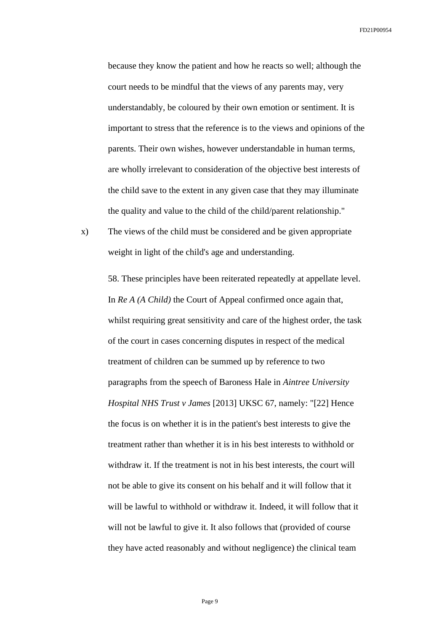because they know the patient and how he reacts so well; although the court needs to be mindful that the views of any parents may, very understandably, be coloured by their own emotion or sentiment. It is important to stress that the reference is to the views and opinions of the parents. Their own wishes, however understandable in human terms, are wholly irrelevant to consideration of the objective best interests of the child save to the extent in any given case that they may illuminate the quality and value to the child of the child/parent relationship."

x) The views of the child must be considered and be given appropriate weight in light of the child's age and understanding.

> 58. These principles have been reiterated repeatedly at appellate level. In *Re A (A Child)* the Court of Appeal confirmed once again that, whilst requiring great sensitivity and care of the highest order, the task of the court in cases concerning disputes in respect of the medical treatment of children can be summed up by reference to two paragraphs from the speech of Baroness Hale in *Aintree University Hospital NHS Trust v James* [2013] UKSC 67, namely: "[22] Hence the focus is on whether it is in the patient's best interests to give the treatment rather than whether it is in his best interests to withhold or withdraw it. If the treatment is not in his best interests, the court will not be able to give its consent on his behalf and it will follow that it will be lawful to withhold or withdraw it. Indeed, it will follow that it will not be lawful to give it. It also follows that (provided of course they have acted reasonably and without negligence) the clinical team

> > Page 9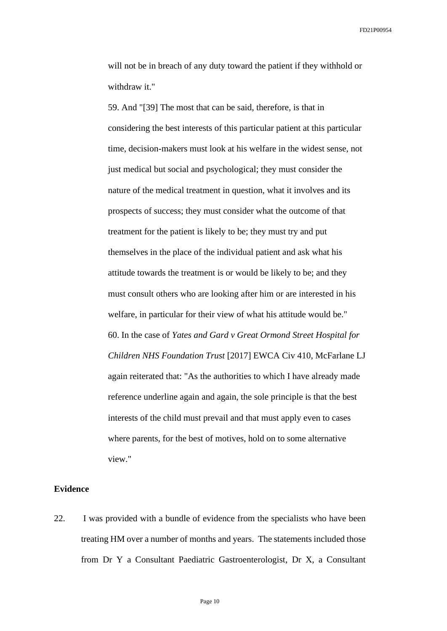will not be in breach of any duty toward the patient if they withhold or withdraw it."

59. And "[39] The most that can be said, therefore, is that in considering the best interests of this particular patient at this particular time, decision-makers must look at his welfare in the widest sense, not just medical but social and psychological; they must consider the nature of the medical treatment in question, what it involves and its prospects of success; they must consider what the outcome of that treatment for the patient is likely to be; they must try and put themselves in the place of the individual patient and ask what his attitude towards the treatment is or would be likely to be; and they must consult others who are looking after him or are interested in his welfare, in particular for their view of what his attitude would be." 60. In the case of *Yates and Gard v Great Ormond Street Hospital for Children NHS Foundation Trust* [2017] EWCA Civ 410, McFarlane LJ again reiterated that: "As the authorities to which I have already made reference underline again and again, the sole principle is that the best interests of the child must prevail and that must apply even to cases where parents, for the best of motives, hold on to some alternative view."

## **Evidence**

22. I was provided with a bundle of evidence from the specialists who have been treating HM over a number of months and years. The statements included those from Dr Y a Consultant Paediatric Gastroenterologist, Dr X, a Consultant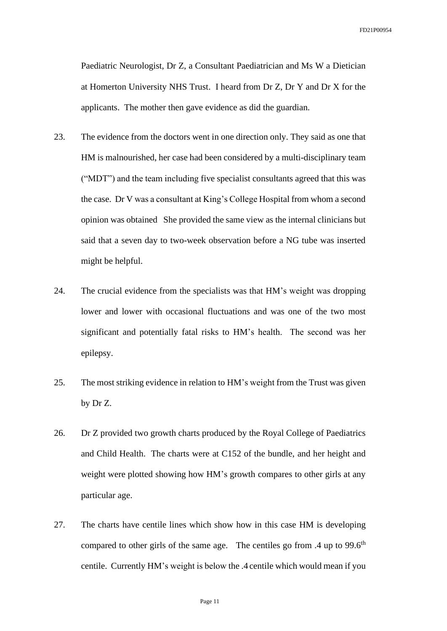Paediatric Neurologist, Dr Z, a Consultant Paediatrician and Ms W a Dietician at Homerton University NHS Trust. I heard from Dr Z, Dr Y and Dr X for the applicants. The mother then gave evidence as did the guardian.

- 23. The evidence from the doctors went in one direction only. They said as one that HM is malnourished, her case had been considered by a multi-disciplinary team ("MDT") and the team including five specialist consultants agreed that this was the case. Dr V was a consultant at King's College Hospital from whom a second opinion was obtained She provided the same view as the internal clinicians but said that a seven day to two-week observation before a NG tube was inserted might be helpful.
- 24. The crucial evidence from the specialists was that HM's weight was dropping lower and lower with occasional fluctuations and was one of the two most significant and potentially fatal risks to HM's health. The second was her epilepsy.
- 25. The most striking evidence in relation to HM's weight from the Trust was given by Dr Z.
- 26. Dr Z provided two growth charts produced by the Royal College of Paediatrics and Child Health. The charts were at C152 of the bundle, and her height and weight were plotted showing how HM's growth compares to other girls at any particular age.
- 27. The charts have centile lines which show how in this case HM is developing compared to other girls of the same age. The centiles go from  $.4 \text{ up to } 99.6^{\text{th}}$ centile. Currently HM's weight is below the .4 centile which would mean if you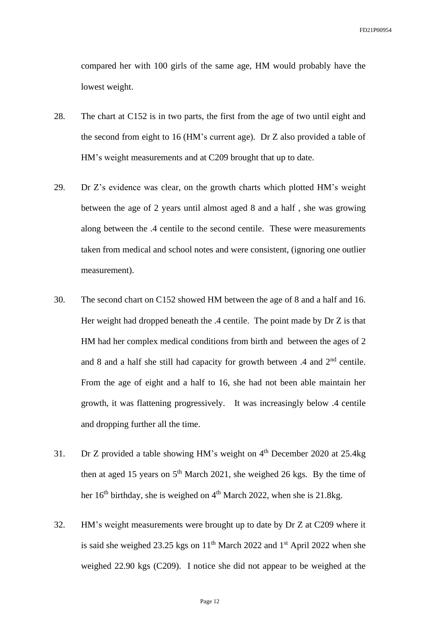compared her with 100 girls of the same age, HM would probably have the lowest weight.

- 28. The chart at C152 is in two parts, the first from the age of two until eight and the second from eight to 16 (HM's current age). Dr Z also provided a table of HM's weight measurements and at C209 brought that up to date.
- 29. Dr Z's evidence was clear, on the growth charts which plotted HM's weight between the age of 2 years until almost aged 8 and a half , she was growing along between the .4 centile to the second centile. These were measurements taken from medical and school notes and were consistent, (ignoring one outlier measurement).
- 30. The second chart on C152 showed HM between the age of 8 and a half and 16. Her weight had dropped beneath the .4 centile. The point made by Dr Z is that HM had her complex medical conditions from birth and between the ages of 2 and 8 and a half she still had capacity for growth between .4 and 2<sup>nd</sup> centile. From the age of eight and a half to 16, she had not been able maintain her growth, it was flattening progressively. It was increasingly below .4 centile and dropping further all the time.
- 31. Dr Z provided a table showing HM's weight on  $4<sup>th</sup>$  December 2020 at 25.4kg then at aged 15 years on  $5<sup>th</sup>$  March 2021, she weighed 26 kgs. By the time of her  $16<sup>th</sup>$  birthday, she is weighed on  $4<sup>th</sup>$  March 2022, when she is 21.8kg.
- 32. HM's weight measurements were brought up to date by Dr Z at C209 where it is said she weighed 23.25 kgs on  $11<sup>th</sup>$  March 2022 and  $1<sup>st</sup>$  April 2022 when she weighed 22.90 kgs (C209). I notice she did not appear to be weighed at the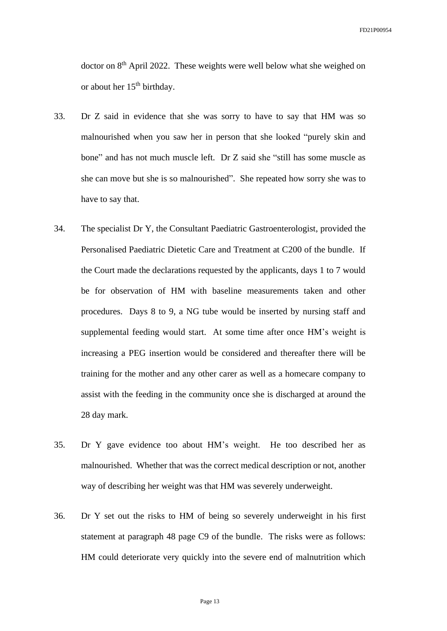doctor on 8<sup>th</sup> April 2022. These weights were well below what she weighed on or about her  $15<sup>th</sup>$  birthday.

- 33. Dr Z said in evidence that she was sorry to have to say that HM was so malnourished when you saw her in person that she looked "purely skin and bone" and has not much muscle left. Dr Z said she "still has some muscle as she can move but she is so malnourished". She repeated how sorry she was to have to say that.
- 34. The specialist Dr Y, the Consultant Paediatric Gastroenterologist, provided the Personalised Paediatric Dietetic Care and Treatment at C200 of the bundle. If the Court made the declarations requested by the applicants, days 1 to 7 would be for observation of HM with baseline measurements taken and other procedures. Days 8 to 9, a NG tube would be inserted by nursing staff and supplemental feeding would start. At some time after once HM's weight is increasing a PEG insertion would be considered and thereafter there will be training for the mother and any other carer as well as a homecare company to assist with the feeding in the community once she is discharged at around the 28 day mark.
- 35. Dr Y gave evidence too about HM's weight. He too described her as malnourished. Whether that was the correct medical description or not, another way of describing her weight was that HM was severely underweight.
- 36. Dr Y set out the risks to HM of being so severely underweight in his first statement at paragraph 48 page C9 of the bundle. The risks were as follows: HM could deteriorate very quickly into the severe end of malnutrition which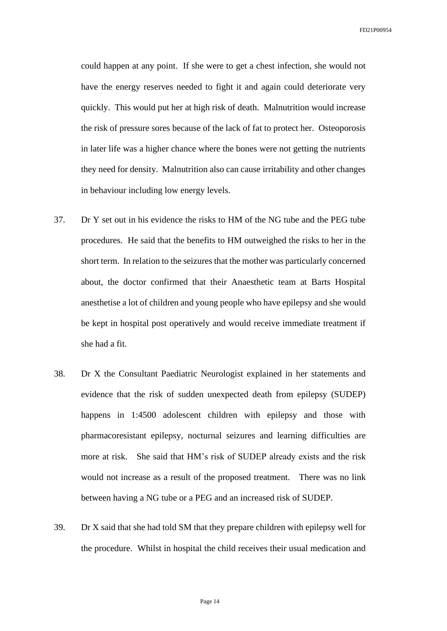could happen at any point. If she were to get a chest infection, she would not have the energy reserves needed to fight it and again could deteriorate very quickly. This would put her at high risk of death. Malnutrition would increase the risk of pressure sores because of the lack of fat to protect her. Osteoporosis in later life was a higher chance where the bones were not getting the nutrients they need for density. Malnutrition also can cause irritability and other changes in behaviour including low energy levels.

- 37. Dr Y set out in his evidence the risks to HM of the NG tube and the PEG tube procedures. He said that the benefits to HM outweighed the risks to her in the short term. In relation to the seizures that the mother was particularly concerned about, the doctor confirmed that their Anaesthetic team at Barts Hospital anesthetise a lot of children and young people who have epilepsy and she would be kept in hospital post operatively and would receive immediate treatment if she had a fit.
- 38. Dr X the Consultant Paediatric Neurologist explained in her statements and evidence that the risk of sudden unexpected death from epilepsy (SUDEP) happens in 1:4500 adolescent children with epilepsy and those with pharmacoresistant epilepsy, nocturnal seizures and learning difficulties are more at risk. She said that HM's risk of SUDEP already exists and the risk would not increase as a result of the proposed treatment. There was no link between having a NG tube or a PEG and an increased risk of SUDEP.
- 39. Dr X said that she had told SM that they prepare children with epilepsy well for the procedure. Whilst in hospital the child receives their usual medication and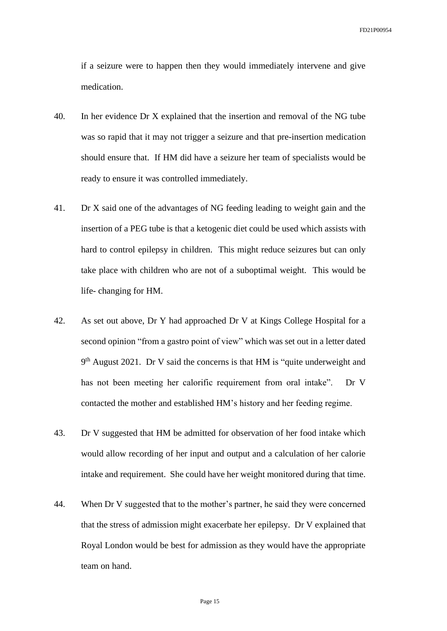if a seizure were to happen then they would immediately intervene and give medication.

- 40. In her evidence Dr X explained that the insertion and removal of the NG tube was so rapid that it may not trigger a seizure and that pre-insertion medication should ensure that. If HM did have a seizure her team of specialists would be ready to ensure it was controlled immediately.
- 41. Dr X said one of the advantages of NG feeding leading to weight gain and the insertion of a PEG tube is that a ketogenic diet could be used which assists with hard to control epilepsy in children. This might reduce seizures but can only take place with children who are not of a suboptimal weight. This would be life- changing for HM.
- 42. As set out above, Dr Y had approached Dr V at Kings College Hospital for a second opinion "from a gastro point of view" which was set out in a letter dated 9<sup>th</sup> August 2021. Dr V said the concerns is that HM is "quite underweight and has not been meeting her calorific requirement from oral intake". Dr V contacted the mother and established HM's history and her feeding regime.
- 43. Dr V suggested that HM be admitted for observation of her food intake which would allow recording of her input and output and a calculation of her calorie intake and requirement. She could have her weight monitored during that time.
- 44. When Dr V suggested that to the mother's partner, he said they were concerned that the stress of admission might exacerbate her epilepsy. Dr V explained that Royal London would be best for admission as they would have the appropriate team on hand.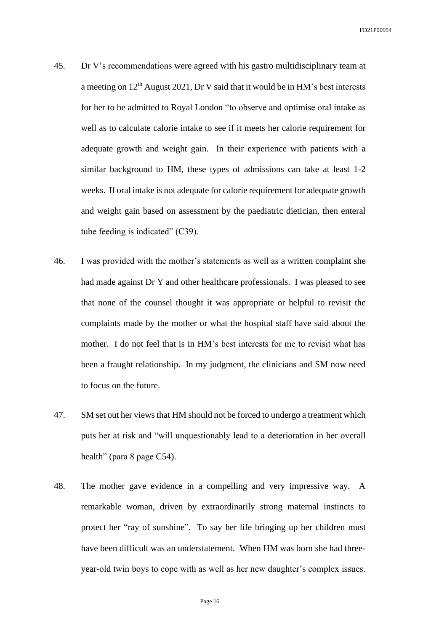- 45. Dr V's recommendations were agreed with his gastro multidisciplinary team at a meeting on  $12<sup>th</sup>$  August 2021, Dr V said that it would be in HM's best interests for her to be admitted to Royal London "to observe and optimise oral intake as well as to calculate calorie intake to see if it meets her calorie requirement for adequate growth and weight gain. In their experience with patients with a similar background to HM, these types of admissions can take at least 1-2 weeks. If oral intake is not adequate for calorie requirement for adequate growth and weight gain based on assessment by the paediatric dietician, then enteral tube feeding is indicated" (C39).
- 46. I was provided with the mother's statements as well as a written complaint she had made against Dr Y and other healthcare professionals. I was pleased to see that none of the counsel thought it was appropriate or helpful to revisit the complaints made by the mother or what the hospital staff have said about the mother. I do not feel that is in HM's best interests for me to revisit what has been a fraught relationship. In my judgment, the clinicians and SM now need to focus on the future.
- 47. SM set out her views that HM should not be forced to undergo a treatment which puts her at risk and "will unquestionably lead to a deterioration in her overall health" (para 8 page C54).
- 48. The mother gave evidence in a compelling and very impressive way. A remarkable woman, driven by extraordinarily strong maternal instincts to protect her "ray of sunshine". To say her life bringing up her children must have been difficult was an understatement. When HM was born she had threeyear-old twin boys to cope with as well as her new daughter's complex issues.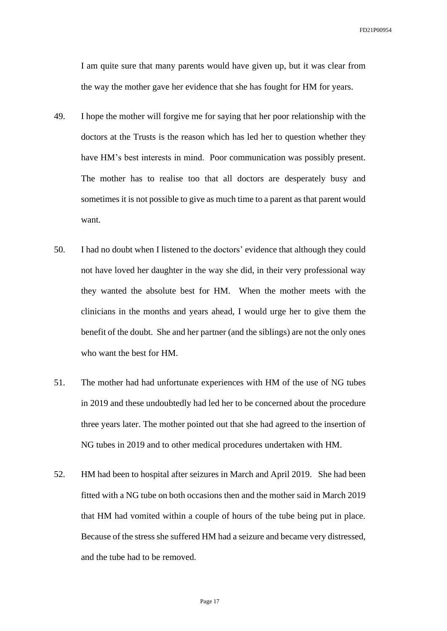I am quite sure that many parents would have given up, but it was clear from the way the mother gave her evidence that she has fought for HM for years.

- 49. I hope the mother will forgive me for saying that her poor relationship with the doctors at the Trusts is the reason which has led her to question whether they have HM's best interests in mind. Poor communication was possibly present. The mother has to realise too that all doctors are desperately busy and sometimes it is not possible to give as much time to a parent as that parent would want.
- 50. I had no doubt when I listened to the doctors' evidence that although they could not have loved her daughter in the way she did, in their very professional way they wanted the absolute best for HM. When the mother meets with the clinicians in the months and years ahead, I would urge her to give them the benefit of the doubt. She and her partner (and the siblings) are not the only ones who want the best for HM.
- 51. The mother had had unfortunate experiences with HM of the use of NG tubes in 2019 and these undoubtedly had led her to be concerned about the procedure three years later. The mother pointed out that she had agreed to the insertion of NG tubes in 2019 and to other medical procedures undertaken with HM.
- 52. HM had been to hospital after seizures in March and April 2019. She had been fitted with a NG tube on both occasions then and the mother said in March 2019 that HM had vomited within a couple of hours of the tube being put in place. Because of the stress she suffered HM had a seizure and became very distressed, and the tube had to be removed.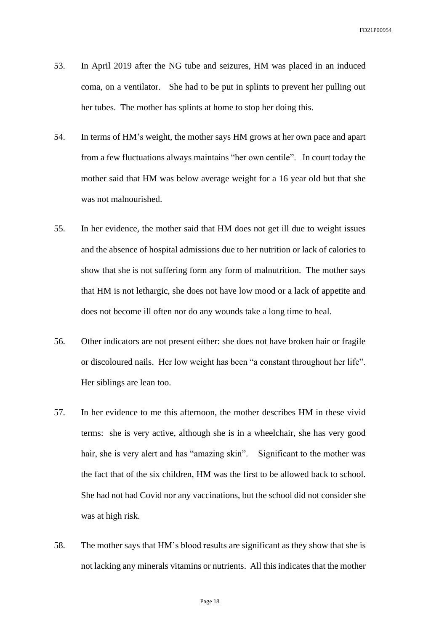- 53. In April 2019 after the NG tube and seizures, HM was placed in an induced coma, on a ventilator. She had to be put in splints to prevent her pulling out her tubes. The mother has splints at home to stop her doing this.
- 54. In terms of HM's weight, the mother says HM grows at her own pace and apart from a few fluctuations always maintains "her own centile". In court today the mother said that HM was below average weight for a 16 year old but that she was not malnourished.
- 55. In her evidence, the mother said that HM does not get ill due to weight issues and the absence of hospital admissions due to her nutrition or lack of calories to show that she is not suffering form any form of malnutrition. The mother says that HM is not lethargic, she does not have low mood or a lack of appetite and does not become ill often nor do any wounds take a long time to heal.
- 56. Other indicators are not present either: she does not have broken hair or fragile or discoloured nails. Her low weight has been "a constant throughout her life". Her siblings are lean too.
- 57. In her evidence to me this afternoon, the mother describes HM in these vivid terms: she is very active, although she is in a wheelchair, she has very good hair, she is very alert and has "amazing skin". Significant to the mother was the fact that of the six children, HM was the first to be allowed back to school. She had not had Covid nor any vaccinations, but the school did not consider she was at high risk.
- 58. The mother says that HM's blood results are significant as they show that she is not lacking any minerals vitamins or nutrients. All this indicates that the mother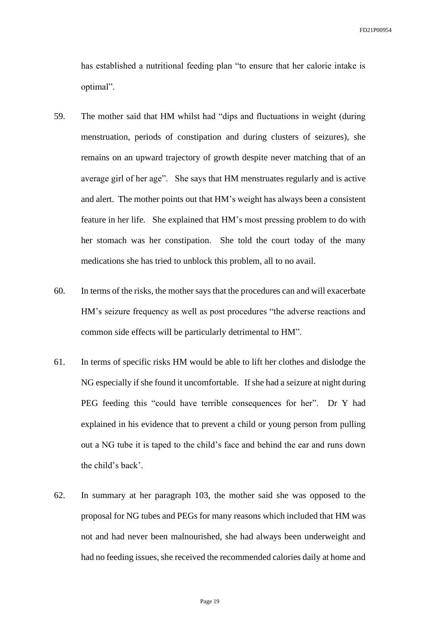has established a nutritional feeding plan "to ensure that her calorie intake is optimal".

- 59. The mother said that HM whilst had "dips and fluctuations in weight (during menstruation, periods of constipation and during clusters of seizures), she remains on an upward trajectory of growth despite never matching that of an average girl of her age". She says that HM menstruates regularly and is active and alert. The mother points out that HM's weight has always been a consistent feature in her life. She explained that HM's most pressing problem to do with her stomach was her constipation. She told the court today of the many medications she has tried to unblock this problem, all to no avail.
- 60. In terms of the risks, the mother says that the procedures can and will exacerbate HM's seizure frequency as well as post procedures "the adverse reactions and common side effects will be particularly detrimental to HM".
- 61. In terms of specific risks HM would be able to lift her clothes and dislodge the NG especially if she found it uncomfortable. If she had a seizure at night during PEG feeding this "could have terrible consequences for her". Dr Y had explained in his evidence that to prevent a child or young person from pulling out a NG tube it is taped to the child's face and behind the ear and runs down the child's back'.
- 62. In summary at her paragraph 103, the mother said she was opposed to the proposal for NG tubes and PEGs for many reasons which included that HM was not and had never been malnourished, she had always been underweight and had no feeding issues, she received the recommended calories daily at home and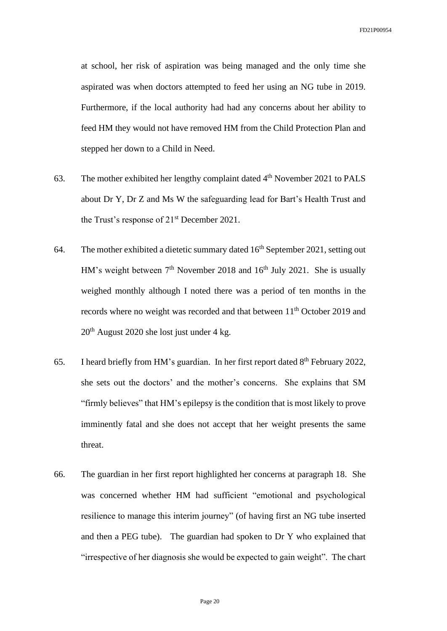at school, her risk of aspiration was being managed and the only time she aspirated was when doctors attempted to feed her using an NG tube in 2019. Furthermore, if the local authority had had any concerns about her ability to feed HM they would not have removed HM from the Child Protection Plan and stepped her down to a Child in Need.

- 63. The mother exhibited her lengthy complaint dated  $4<sup>th</sup>$  November 2021 to PALS about Dr Y, Dr Z and Ms W the safeguarding lead for Bart's Health Trust and the Trust's response of 21<sup>st</sup> December 2021.
- 64. The mother exhibited a dietetic summary dated  $16<sup>th</sup>$  September 2021, setting out HM's weight between  $7<sup>th</sup>$  November 2018 and  $16<sup>th</sup>$  July 2021. She is usually weighed monthly although I noted there was a period of ten months in the records where no weight was recorded and that between 11<sup>th</sup> October 2019 and 20th August 2020 she lost just under 4 kg.
- 65. I heard briefly from HM's guardian. In her first report dated  $8<sup>th</sup>$  February 2022, she sets out the doctors' and the mother's concerns. She explains that SM "firmly believes" that HM's epilepsy is the condition that is most likely to prove imminently fatal and she does not accept that her weight presents the same threat.
- 66. The guardian in her first report highlighted her concerns at paragraph 18. She was concerned whether HM had sufficient "emotional and psychological resilience to manage this interim journey" (of having first an NG tube inserted and then a PEG tube). The guardian had spoken to Dr Y who explained that "irrespective of her diagnosis she would be expected to gain weight". The chart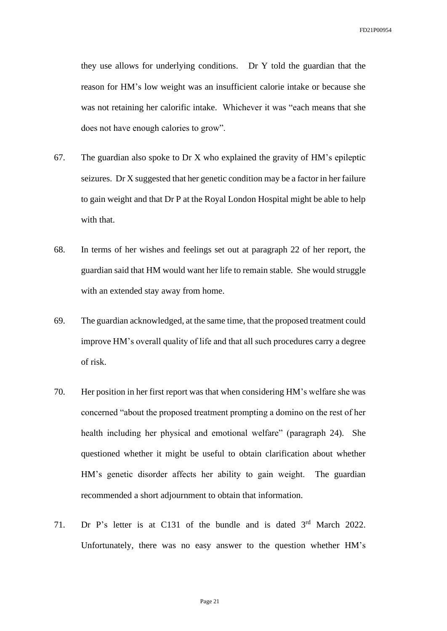they use allows for underlying conditions. Dr Y told the guardian that the reason for HM's low weight was an insufficient calorie intake or because she was not retaining her calorific intake. Whichever it was "each means that she does not have enough calories to grow".

- 67. The guardian also spoke to Dr X who explained the gravity of HM's epileptic seizures. Dr X suggested that her genetic condition may be a factor in her failure to gain weight and that Dr P at the Royal London Hospital might be able to help with that.
- 68. In terms of her wishes and feelings set out at paragraph 22 of her report, the guardian said that HM would want her life to remain stable. She would struggle with an extended stay away from home.
- 69. The guardian acknowledged, at the same time, that the proposed treatment could improve HM's overall quality of life and that all such procedures carry a degree of risk.
- 70. Her position in her first report was that when considering HM's welfare she was concerned "about the proposed treatment prompting a domino on the rest of her health including her physical and emotional welfare" (paragraph 24). She questioned whether it might be useful to obtain clarification about whether HM's genetic disorder affects her ability to gain weight. The guardian recommended a short adjournment to obtain that information.
- 71. Dr P's letter is at C131 of the bundle and is dated 3<sup>rd</sup> March 2022. Unfortunately, there was no easy answer to the question whether HM's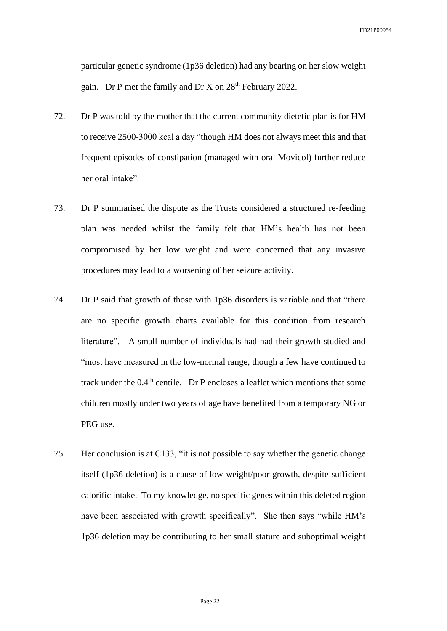particular genetic syndrome (1p36 deletion) had any bearing on her slow weight gain. Dr P met the family and Dr X on 28th February 2022.

- 72. Dr P was told by the mother that the current community dietetic plan is for HM to receive 2500-3000 kcal a day "though HM does not always meet this and that frequent episodes of constipation (managed with oral Movicol) further reduce her oral intake".
- 73. Dr P summarised the dispute as the Trusts considered a structured re-feeding plan was needed whilst the family felt that HM's health has not been compromised by her low weight and were concerned that any invasive procedures may lead to a worsening of her seizure activity.
- 74. Dr P said that growth of those with 1p36 disorders is variable and that "there are no specific growth charts available for this condition from research literature". A small number of individuals had had their growth studied and "most have measured in the low-normal range, though a few have continued to track under the  $0.4<sup>th</sup>$  centile. Dr P encloses a leaflet which mentions that some children mostly under two years of age have benefited from a temporary NG or PEG use.
- 75. Her conclusion is at C133, "it is not possible to say whether the genetic change itself (1p36 deletion) is a cause of low weight/poor growth, despite sufficient calorific intake. To my knowledge, no specific genes within this deleted region have been associated with growth specifically". She then says "while HM's 1p36 deletion may be contributing to her small stature and suboptimal weight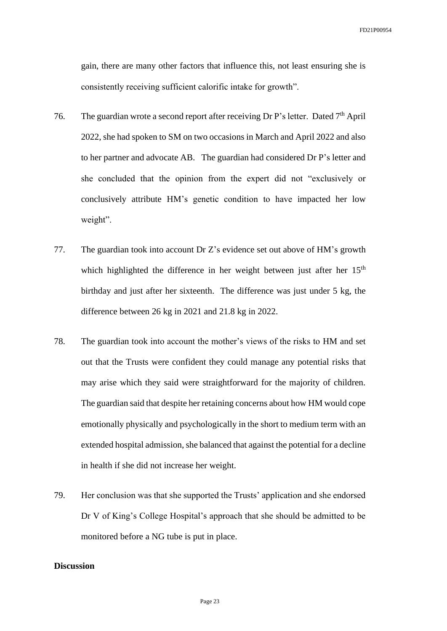gain, there are many other factors that influence this, not least ensuring she is consistently receiving sufficient calorific intake for growth".

- 76. The guardian wrote a second report after receiving Dr P's letter. Dated  $7<sup>th</sup>$  April 2022, she had spoken to SM on two occasions in March and April 2022 and also to her partner and advocate AB. The guardian had considered Dr P's letter and she concluded that the opinion from the expert did not "exclusively or conclusively attribute HM's genetic condition to have impacted her low weight".
- 77. The guardian took into account Dr Z's evidence set out above of HM's growth which highlighted the difference in her weight between just after her 15<sup>th</sup> birthday and just after her sixteenth. The difference was just under 5 kg, the difference between 26 kg in 2021 and 21.8 kg in 2022.
- 78. The guardian took into account the mother's views of the risks to HM and set out that the Trusts were confident they could manage any potential risks that may arise which they said were straightforward for the majority of children. The guardian said that despite her retaining concerns about how HM would cope emotionally physically and psychologically in the short to medium term with an extended hospital admission, she balanced that against the potential for a decline in health if she did not increase her weight.
- 79. Her conclusion was that she supported the Trusts' application and she endorsed Dr V of King's College Hospital's approach that she should be admitted to be monitored before a NG tube is put in place.

## **Discussion**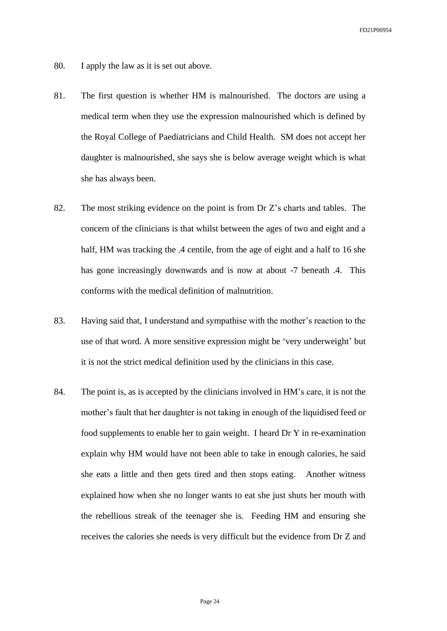- 80. I apply the law as it is set out above.
- 81. The first question is whether HM is malnourished. The doctors are using a medical term when they use the expression malnourished which is defined by the Royal College of Paediatricians and Child Health. SM does not accept her daughter is malnourished, she says she is below average weight which is what she has always been.
- 82. The most striking evidence on the point is from Dr Z's charts and tables. The concern of the clinicians is that whilst between the ages of two and eight and a half, HM was tracking the .4 centile, from the age of eight and a half to 16 she has gone increasingly downwards and is now at about -7 beneath .4. This conforms with the medical definition of malnutrition.
- 83. Having said that, I understand and sympathise with the mother's reaction to the use of that word. A more sensitive expression might be 'very underweight' but it is not the strict medical definition used by the clinicians in this case.
- 84. The point is, as is accepted by the clinicians involved in HM's care, it is not the mother's fault that her daughter is not taking in enough of the liquidised feed or food supplements to enable her to gain weight. I heard Dr Y in re-examination explain why HM would have not been able to take in enough calories, he said she eats a little and then gets tired and then stops eating. Another witness explained how when she no longer wants to eat she just shuts her mouth with the rebellious streak of the teenager she is. Feeding HM and ensuring she receives the calories she needs is very difficult but the evidence from Dr Z and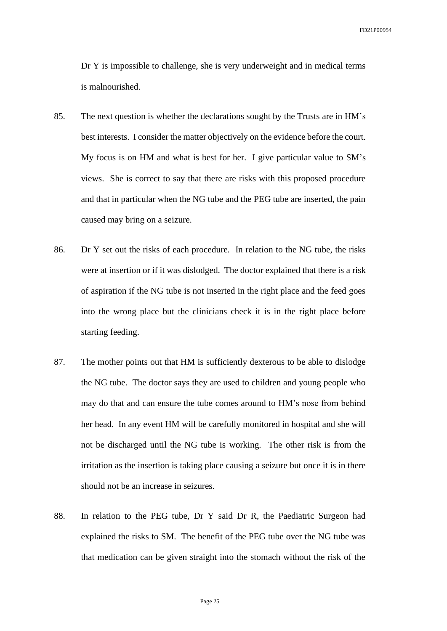Dr Y is impossible to challenge, she is very underweight and in medical terms is malnourished.

- 85. The next question is whether the declarations sought by the Trusts are in HM's best interests. I consider the matter objectively on the evidence before the court. My focus is on HM and what is best for her. I give particular value to SM's views. She is correct to say that there are risks with this proposed procedure and that in particular when the NG tube and the PEG tube are inserted, the pain caused may bring on a seizure.
- 86. Dr Y set out the risks of each procedure. In relation to the NG tube, the risks were at insertion or if it was dislodged. The doctor explained that there is a risk of aspiration if the NG tube is not inserted in the right place and the feed goes into the wrong place but the clinicians check it is in the right place before starting feeding.
- 87. The mother points out that HM is sufficiently dexterous to be able to dislodge the NG tube. The doctor says they are used to children and young people who may do that and can ensure the tube comes around to HM's nose from behind her head. In any event HM will be carefully monitored in hospital and she will not be discharged until the NG tube is working. The other risk is from the irritation as the insertion is taking place causing a seizure but once it is in there should not be an increase in seizures.
- 88. In relation to the PEG tube, Dr Y said Dr R, the Paediatric Surgeon had explained the risks to SM. The benefit of the PEG tube over the NG tube was that medication can be given straight into the stomach without the risk of the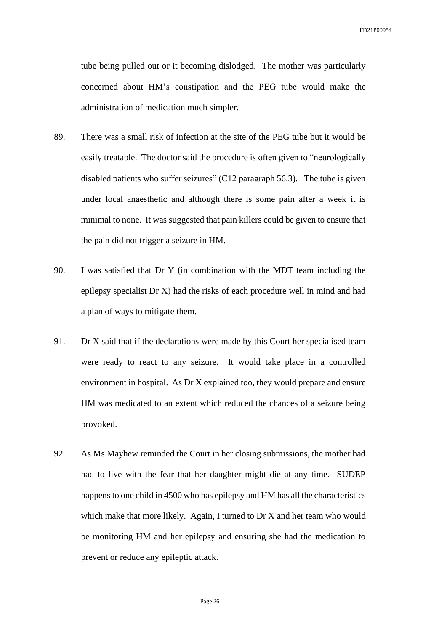tube being pulled out or it becoming dislodged. The mother was particularly concerned about HM's constipation and the PEG tube would make the administration of medication much simpler.

- 89. There was a small risk of infection at the site of the PEG tube but it would be easily treatable. The doctor said the procedure is often given to "neurologically disabled patients who suffer seizures" (C12 paragraph 56.3). The tube is given under local anaesthetic and although there is some pain after a week it is minimal to none. It was suggested that pain killers could be given to ensure that the pain did not trigger a seizure in HM.
- 90. I was satisfied that Dr Y (in combination with the MDT team including the epilepsy specialist Dr X) had the risks of each procedure well in mind and had a plan of ways to mitigate them.
- 91. Dr X said that if the declarations were made by this Court her specialised team were ready to react to any seizure. It would take place in a controlled environment in hospital. As Dr X explained too, they would prepare and ensure HM was medicated to an extent which reduced the chances of a seizure being provoked.
- 92. As Ms Mayhew reminded the Court in her closing submissions, the mother had had to live with the fear that her daughter might die at any time. SUDEP happens to one child in 4500 who has epilepsy and HM has all the characteristics which make that more likely. Again, I turned to Dr X and her team who would be monitoring HM and her epilepsy and ensuring she had the medication to prevent or reduce any epileptic attack.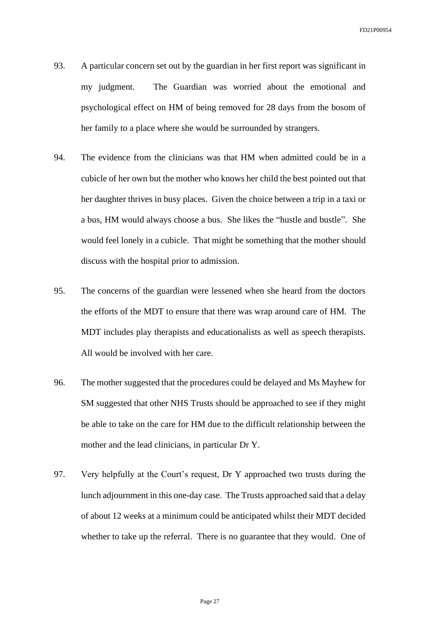- 93. A particular concern set out by the guardian in her first report was significant in my judgment. The Guardian was worried about the emotional and psychological effect on HM of being removed for 28 days from the bosom of her family to a place where she would be surrounded by strangers.
- 94. The evidence from the clinicians was that HM when admitted could be in a cubicle of her own but the mother who knows her child the best pointed out that her daughter thrives in busy places. Given the choice between a trip in a taxi or a bus, HM would always choose a bus. She likes the "hustle and bustle". She would feel lonely in a cubicle. That might be something that the mother should discuss with the hospital prior to admission.
- 95. The concerns of the guardian were lessened when she heard from the doctors the efforts of the MDT to ensure that there was wrap around care of HM. The MDT includes play therapists and educationalists as well as speech therapists. All would be involved with her care.
- 96. The mother suggested that the procedures could be delayed and Ms Mayhew for SM suggested that other NHS Trusts should be approached to see if they might be able to take on the care for HM due to the difficult relationship between the mother and the lead clinicians, in particular Dr Y.
- 97. Very helpfully at the Court's request, Dr Y approached two trusts during the lunch adjournment in this one-day case. The Trusts approached said that a delay of about 12 weeks at a minimum could be anticipated whilst their MDT decided whether to take up the referral. There is no guarantee that they would. One of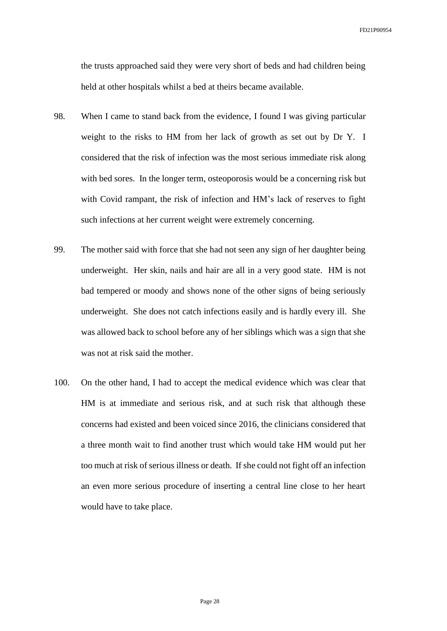the trusts approached said they were very short of beds and had children being held at other hospitals whilst a bed at theirs became available.

- 98. When I came to stand back from the evidence, I found I was giving particular weight to the risks to HM from her lack of growth as set out by Dr Y. I considered that the risk of infection was the most serious immediate risk along with bed sores. In the longer term, osteoporosis would be a concerning risk but with Covid rampant, the risk of infection and HM's lack of reserves to fight such infections at her current weight were extremely concerning.
- 99. The mother said with force that she had not seen any sign of her daughter being underweight. Her skin, nails and hair are all in a very good state. HM is not bad tempered or moody and shows none of the other signs of being seriously underweight. She does not catch infections easily and is hardly every ill. She was allowed back to school before any of her siblings which was a sign that she was not at risk said the mother.
- 100. On the other hand, I had to accept the medical evidence which was clear that HM is at immediate and serious risk, and at such risk that although these concerns had existed and been voiced since 2016, the clinicians considered that a three month wait to find another trust which would take HM would put her too much at risk of serious illness or death. If she could not fight off an infection an even more serious procedure of inserting a central line close to her heart would have to take place.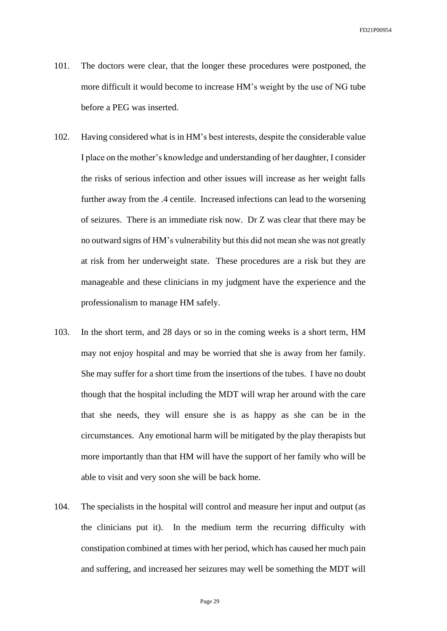- 101. The doctors were clear, that the longer these procedures were postponed, the more difficult it would become to increase HM's weight by the use of NG tube before a PEG was inserted.
- 102. Having considered what is in HM's best interests, despite the considerable value I place on the mother's knowledge and understanding of her daughter, I consider the risks of serious infection and other issues will increase as her weight falls further away from the .4 centile. Increased infections can lead to the worsening of seizures. There is an immediate risk now. Dr Z was clear that there may be no outward signs of HM's vulnerability but this did not mean she was not greatly at risk from her underweight state. These procedures are a risk but they are manageable and these clinicians in my judgment have the experience and the professionalism to manage HM safely.
- 103. In the short term, and 28 days or so in the coming weeks is a short term, HM may not enjoy hospital and may be worried that she is away from her family. She may suffer for a short time from the insertions of the tubes. I have no doubt though that the hospital including the MDT will wrap her around with the care that she needs, they will ensure she is as happy as she can be in the circumstances. Any emotional harm will be mitigated by the play therapists but more importantly than that HM will have the support of her family who will be able to visit and very soon she will be back home.
- 104. The specialists in the hospital will control and measure her input and output (as the clinicians put it). In the medium term the recurring difficulty with constipation combined at times with her period, which has caused her much pain and suffering, and increased her seizures may well be something the MDT will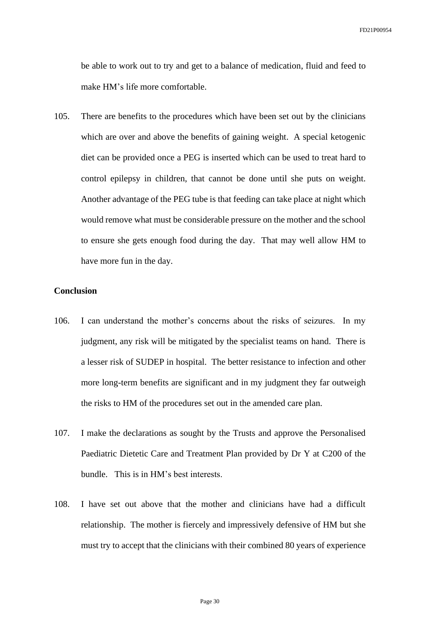be able to work out to try and get to a balance of medication, fluid and feed to make HM's life more comfortable.

105. There are benefits to the procedures which have been set out by the clinicians which are over and above the benefits of gaining weight. A special ketogenic diet can be provided once a PEG is inserted which can be used to treat hard to control epilepsy in children, that cannot be done until she puts on weight. Another advantage of the PEG tube is that feeding can take place at night which would remove what must be considerable pressure on the mother and the school to ensure she gets enough food during the day. That may well allow HM to have more fun in the day.

## **Conclusion**

- 106. I can understand the mother's concerns about the risks of seizures. In my judgment, any risk will be mitigated by the specialist teams on hand. There is a lesser risk of SUDEP in hospital. The better resistance to infection and other more long-term benefits are significant and in my judgment they far outweigh the risks to HM of the procedures set out in the amended care plan.
- 107. I make the declarations as sought by the Trusts and approve the Personalised Paediatric Dietetic Care and Treatment Plan provided by Dr Y at C200 of the bundle. This is in HM's best interests.
- 108. I have set out above that the mother and clinicians have had a difficult relationship. The mother is fiercely and impressively defensive of HM but she must try to accept that the clinicians with their combined 80 years of experience